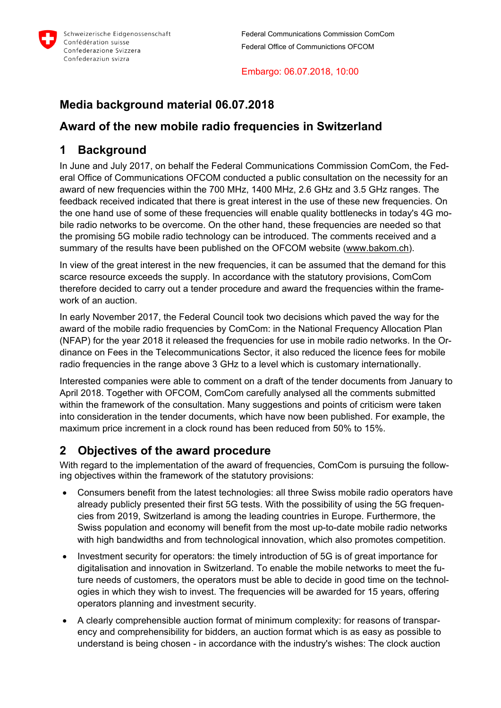

#### Embargo: 06.07.2018, 10:00

# **Media background material 06.07.2018**

# **Award of the new mobile radio frequencies in Switzerland**

# **1 Background**

In June and July 2017, on behalf the Federal Communications Commission ComCom, the Federal Office of Communications OFCOM conducted a public consultation on the necessity for an award of new frequencies within the 700 MHz, 1400 MHz, 2.6 GHz and 3.5 GHz ranges. The feedback received indicated that there is great interest in the use of these new frequencies. On the one hand use of some of these frequencies will enable quality bottlenecks in today's 4G mobile radio networks to be overcome. On the other hand, these frequencies are needed so that the promising 5G mobile radio technology can be introduced. The comments received and a summary of the results have been published on the OFCOM website (www.bakom.ch).

In view of the great interest in the new frequencies, it can be assumed that the demand for this scarce resource exceeds the supply. In accordance with the statutory provisions, ComCom therefore decided to carry out a tender procedure and award the frequencies within the framework of an auction.

In early November 2017, the Federal Council took two decisions which paved the way for the award of the mobile radio frequencies by ComCom: in the National Frequency Allocation Plan (NFAP) for the year 2018 it released the frequencies for use in mobile radio networks. In the Ordinance on Fees in the Telecommunications Sector, it also reduced the licence fees for mobile radio frequencies in the range above 3 GHz to a level which is customary internationally.

Interested companies were able to comment on a draft of the tender documents from January to April 2018. Together with OFCOM, ComCom carefully analysed all the comments submitted within the framework of the consultation. Many suggestions and points of criticism were taken into consideration in the tender documents, which have now been published. For example, the maximum price increment in a clock round has been reduced from 50% to 15%.

# **2 Objectives of the award procedure**

With regard to the implementation of the award of frequencies, ComCom is pursuing the following objectives within the framework of the statutory provisions:

- Consumers benefit from the latest technologies: all three Swiss mobile radio operators have already publicly presented their first 5G tests. With the possibility of using the 5G frequencies from 2019, Switzerland is among the leading countries in Europe. Furthermore, the Swiss population and economy will benefit from the most up-to-date mobile radio networks with high bandwidths and from technological innovation, which also promotes competition.
- Investment security for operators: the timely introduction of 5G is of great importance for digitalisation and innovation in Switzerland. To enable the mobile networks to meet the future needs of customers, the operators must be able to decide in good time on the technologies in which they wish to invest. The frequencies will be awarded for 15 years, offering operators planning and investment security.
- A clearly comprehensible auction format of minimum complexity: for reasons of transparency and comprehensibility for bidders, an auction format which is as easy as possible to understand is being chosen - in accordance with the industry's wishes: The clock auction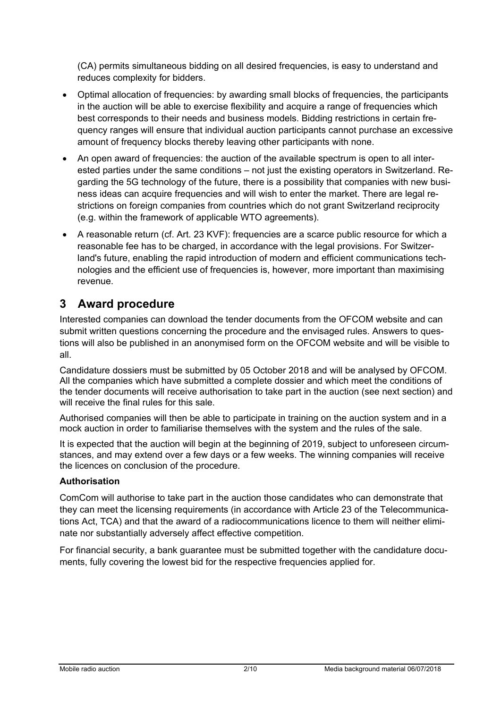(CA) permits simultaneous bidding on all desired frequencies, is easy to understand and reduces complexity for bidders.

- Optimal allocation of frequencies: by awarding small blocks of frequencies, the participants in the auction will be able to exercise flexibility and acquire a range of frequencies which best corresponds to their needs and business models. Bidding restrictions in certain frequency ranges will ensure that individual auction participants cannot purchase an excessive amount of frequency blocks thereby leaving other participants with none.
- An open award of frequencies: the auction of the available spectrum is open to all interested parties under the same conditions – not just the existing operators in Switzerland. Regarding the 5G technology of the future, there is a possibility that companies with new business ideas can acquire frequencies and will wish to enter the market. There are legal restrictions on foreign companies from countries which do not grant Switzerland reciprocity (e.g. within the framework of applicable WTO agreements).
- A reasonable return (cf. Art. 23 KVF): frequencies are a scarce public resource for which a reasonable fee has to be charged, in accordance with the legal provisions. For Switzerland's future, enabling the rapid introduction of modern and efficient communications technologies and the efficient use of frequencies is, however, more important than maximising revenue.

# **3 Award procedure**

Interested companies can download the tender documents from the OFCOM website and can submit written questions concerning the procedure and the envisaged rules. Answers to questions will also be published in an anonymised form on the OFCOM website and will be visible to all.

Candidature dossiers must be submitted by 05 October 2018 and will be analysed by OFCOM. All the companies which have submitted a complete dossier and which meet the conditions of the tender documents will receive authorisation to take part in the auction (see next section) and will receive the final rules for this sale.

Authorised companies will then be able to participate in training on the auction system and in a mock auction in order to familiarise themselves with the system and the rules of the sale.

It is expected that the auction will begin at the beginning of 2019, subject to unforeseen circumstances, and may extend over a few days or a few weeks. The winning companies will receive the licences on conclusion of the procedure.

#### **Authorisation**

ComCom will authorise to take part in the auction those candidates who can demonstrate that they can meet the licensing requirements (in accordance with Article 23 of the Telecommunications Act, TCA) and that the award of a radiocommunications licence to them will neither eliminate nor substantially adversely affect effective competition.

For financial security, a bank guarantee must be submitted together with the candidature documents, fully covering the lowest bid for the respective frequencies applied for.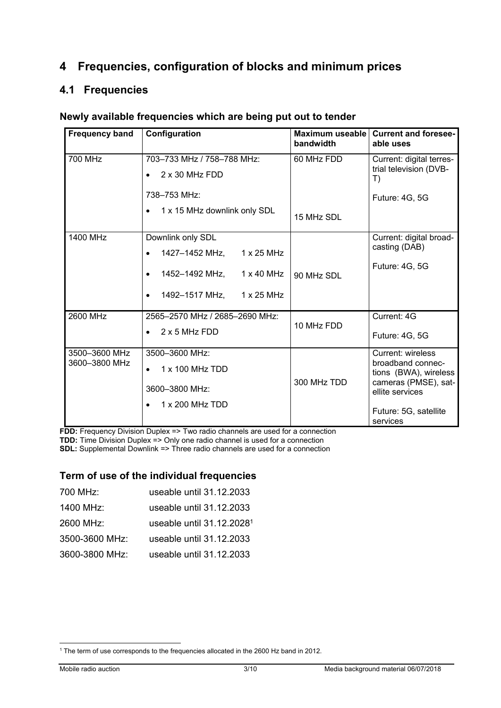# **4 Frequencies, configuration of blocks and minimum prices**

## **4.1 Frequencies**

### **Newly available frequencies which are being put out to tender**

| <b>Frequency band</b> | Configuration                                    | bandwidth   | Maximum useable   Current and foresee-<br>able uses |
|-----------------------|--------------------------------------------------|-------------|-----------------------------------------------------|
| 700 MHz               | 703-733 MHz / 758-788 MHz:                       | 60 MHz FDD  | Current: digital terres-                            |
|                       | $2 \times 30$ MHz FDD                            |             | trial television (DVB-<br>T)                        |
|                       | 738-753 MHz:                                     |             | Future: 4G, 5G                                      |
|                       | 1 x 15 MHz downlink only SDL                     | 15 MHz SDL  |                                                     |
| 1400 MHz              | Downlink only SDL                                |             | Current: digital broad-                             |
|                       | 1427–1452 MHz,<br>$1 \times 25$ MHz              |             | casting (DAB)                                       |
|                       | 1452–1492 MHz,<br>$1 \times 40$ MHz<br>$\bullet$ | 90 MHz SDL  | Future: 4G, 5G                                      |
|                       | 1492-1517 MHz,<br>1 x 25 MHz<br>$\bullet$        |             |                                                     |
| <b>2600 MHz</b>       | 2565-2570 MHz / 2685-2690 MHz:                   |             | Current: 4G                                         |
|                       | 2 x 5 MHz FDD<br>$\bullet$                       | 10 MHz FDD  | Future: 4G, 5G                                      |
| 3500-3600 MHz         | 3500-3600 MHz:                                   |             | Current: wireless                                   |
| 3600-3800 MHz         | 1 x 100 MHz TDD                                  |             | broadband connec-<br>tions (BWA), wireless          |
|                       | 3600-3800 MHz:                                   | 300 MHz TDD | cameras (PMSE), sat-<br>ellite services             |
|                       | 1 x 200 MHz TDD                                  |             | Future: 5G, satellite<br>services                   |

**FDD:** Frequency Division Duplex => Two radio channels are used for a connection **TDD:** Time Division Duplex => Only one radio channel is used for a connection

**SDL:** Supplemental Downlink => Three radio channels are used for a connection

### **Term of use of the individual frequencies**

| 700 MHz:       | useable until 31.12.2033              |
|----------------|---------------------------------------|
| 1400 MHz:      | useable until 31.12.2033              |
| 2600 MHz:      | useable until 31.12.2028 <sup>1</sup> |
| 3500-3600 MHz: | useable until 31.12.2033              |
| 3600-3800 MHz: | useable until 31.12.2033              |

<sup>-</sup>1 The term of use corresponds to the frequencies allocated in the 2600 Hz band in 2012.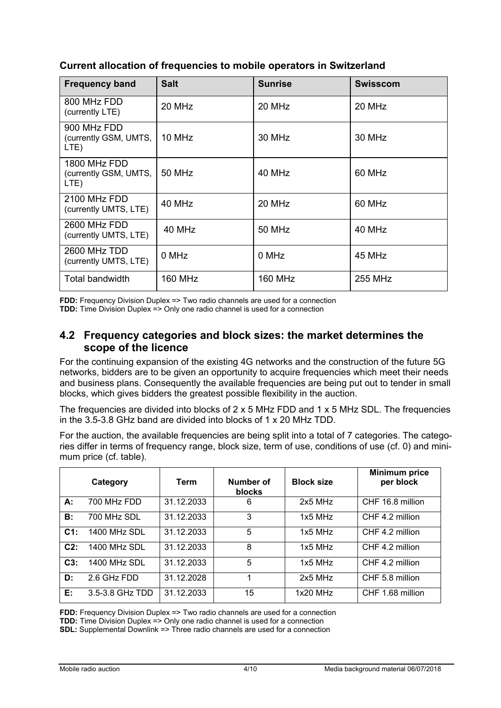| <b>Frequency band</b>                         | <b>Salt</b> | <b>Sunrise</b> | <b>Swisscom</b> |
|-----------------------------------------------|-------------|----------------|-----------------|
| 800 MHz FDD<br>(currently LTE)                | 20 MHz      | 20 MHz         | 20 MHz          |
| 900 MHz FDD<br>(currently GSM, UMTS,<br>LTE)  | 10 MHz      | 30 MHz         | 30 MHz          |
| 1800 MHz FDD<br>(currently GSM, UMTS,<br>LTE) | 50 MHz      | 40 MHz         | 60 MHz          |
| 2100 MHz FDD<br>(currently UMTS, LTE)         | 40 MHz      | 20 MHz         | 60 MHz          |
| 2600 MHz FDD<br>(currently UMTS, LTE)         | 40 MHz      | <b>50 MHz</b>  | 40 MHz          |
| 2600 MHz TDD<br>(currently UMTS, LTE)         | 0 MHz       | 0 MHz          | 45 MHz          |
| Total bandwidth                               | 160 MHz     | <b>160 MHz</b> | 255 MHz         |

### **Current allocation of frequencies to mobile operators in Switzerland**

**FDD:** Frequency Division Duplex => Two radio channels are used for a connection **TDD:** Time Division Duplex => Only one radio channel is used for a connection

## **4.2 Frequency categories and block sizes: the market determines the scope of the licence**

For the continuing expansion of the existing 4G networks and the construction of the future 5G networks, bidders are to be given an opportunity to acquire frequencies which meet their needs and business plans. Consequently the available frequencies are being put out to tender in small blocks, which gives bidders the greatest possible flexibility in the auction.

The frequencies are divided into blocks of 2 x 5 MHz FDD and 1 x 5 MHz SDL. The frequencies in the 3.5-3.8 GHz band are divided into blocks of 1 x 20 MHz TDD.

For the auction, the available frequencies are being split into a total of 7 categories. The categories differ in terms of frequency range, block size, term of use, conditions of use (cf. 0) and minimum price (cf. table).

|           | Category            | <b>Term</b> | Number of<br>blocks | <b>Block size</b> | <b>Minimum price</b><br>per block |
|-----------|---------------------|-------------|---------------------|-------------------|-----------------------------------|
| А:        | 700 MHz FDD         | 31.12.2033  | 6                   | $2x5$ MHz         | CHF 16.8 million                  |
| <b>B:</b> | 700 MHz SDL         | 31.12.2033  | 3                   | $1x5$ MHz         | CHF 4.2 million                   |
| C1:       | 1400 MHz SDL        | 31.12.2033  | 5                   | $1x5$ MHz         | CHF 4.2 million                   |
| $C2$ :    | <b>1400 MHz SDL</b> | 31.12.2033  | 8                   | $1x5$ MHz         | CHF 4.2 million                   |
| $C3$ :    | <b>1400 MHz SDL</b> | 31.12.2033  | 5                   | $1x5$ MH $z$      | CHF 4.2 million                   |
| D:        | 2.6 GHz FDD         | 31.12.2028  | 1                   | $2x5$ MH $z$      | CHF 5.8 million                   |
| Е:        | 3.5-3.8 GHz TDD     | 31.12.2033  | 15                  | $1x20$ MHz        | CHF 1.68 million                  |

**FDD:** Frequency Division Duplex => Two radio channels are used for a connection

**TDD:** Time Division Duplex => Only one radio channel is used for a connection

**SDL:** Supplemental Downlink => Three radio channels are used for a connection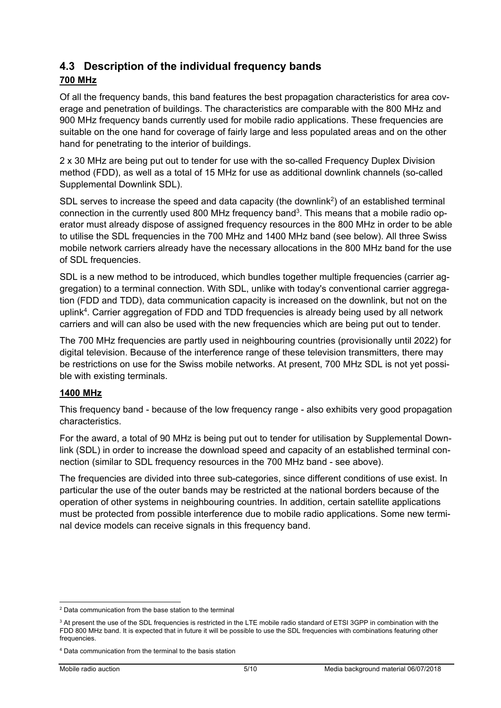## **4.3 Description of the individual frequency bands**

## **700 MHz**

Of all the frequency bands, this band features the best propagation characteristics for area coverage and penetration of buildings. The characteristics are comparable with the 800 MHz and 900 MHz frequency bands currently used for mobile radio applications. These frequencies are suitable on the one hand for coverage of fairly large and less populated areas and on the other hand for penetrating to the interior of buildings.

2 x 30 MHz are being put out to tender for use with the so-called Frequency Duplex Division method (FDD), as well as a total of 15 MHz for use as additional downlink channels (so-called Supplemental Downlink SDL).

SDL serves to increase the speed and data capacity (the downlink<sup>2</sup>) of an established terminal connection in the currently used 800 MHz frequency band<sup>3</sup>. This means that a mobile radio operator must already dispose of assigned frequency resources in the 800 MHz in order to be able to utilise the SDL frequencies in the 700 MHz and 1400 MHz band (see below). All three Swiss mobile network carriers already have the necessary allocations in the 800 MHz band for the use of SDL frequencies.

SDL is a new method to be introduced, which bundles together multiple frequencies (carrier aggregation) to a terminal connection. With SDL, unlike with today's conventional carrier aggregation (FDD and TDD), data communication capacity is increased on the downlink, but not on the uplink<sup>4</sup>. Carrier aggregation of FDD and TDD frequencies is already being used by all network carriers and will can also be used with the new frequencies which are being put out to tender.

The 700 MHz frequencies are partly used in neighbouring countries (provisionally until 2022) for digital television. Because of the interference range of these television transmitters, there may be restrictions on use for the Swiss mobile networks. At present, 700 MHz SDL is not yet possible with existing terminals.

## **1400 MHz**

This frequency band - because of the low frequency range - also exhibits very good propagation characteristics.

For the award, a total of 90 MHz is being put out to tender for utilisation by Supplemental Downlink (SDL) in order to increase the download speed and capacity of an established terminal connection (similar to SDL frequency resources in the 700 MHz band - see above).

The frequencies are divided into three sub-categories, since different conditions of use exist. In particular the use of the outer bands may be restricted at the national borders because of the operation of other systems in neighbouring countries. In addition, certain satellite applications must be protected from possible interference due to mobile radio applications. Some new terminal device models can receive signals in this frequency band.

 $\overline{a}$ 2 Data communication from the base station to the terminal

 $3$  At present the use of the SDL frequencies is restricted in the LTE mobile radio standard of ETSI 3GPP in combination with the FDD 800 MHz band. It is expected that in future it will be possible to use the SDL frequencies with combinations featuring other frequencies.

<sup>4</sup> Data communication from the terminal to the basis station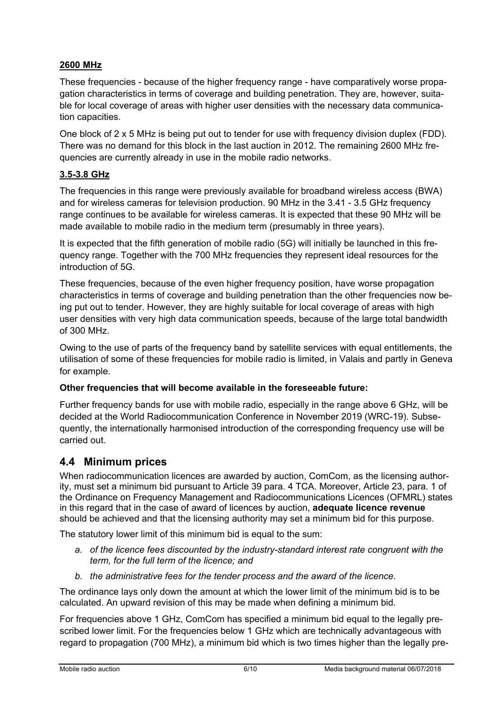### **2600 MHz**

These frequencies - because of the higher frequency range - have comparatively worse propagation characteristics in terms of coverage and building penetration. They are, however, suitable for local coverage of areas with higher user densities with the necessary data communication capacities.

One block of 2 x 5 MHz is being put out to tender for use with frequency division duplex (FDD). There was no demand for this block in the last auction in 2012. The remaining 2600 MHz frequencies are currently already in use in the mobile radio networks.

## **3.5-3.8 GHz**

The frequencies in this range were previously available for broadband wireless access (BWA) and for wireless cameras for television production. 90 MHz in the 3.41 - 3.5 GHz frequency range continues to be available for wireless cameras. It is expected that these 90 MHz will be made available to mobile radio in the medium term (presumably in three years).

It is expected that the fifth generation of mobile radio (5G) will initially be launched in this frequency range. Together with the 700 MHz frequencies they represent ideal resources for the introduction of 5G.

These frequencies, because of the even higher frequency position, have worse propagation characteristics in terms of coverage and building penetration than the other frequencies now being put out to tender. However, they are highly suitable for local coverage of areas with high user densities with very high data communication speeds, because of the large total bandwidth of 300 MHz.

Owing to the use of parts of the frequency band by satellite services with equal entitlements, the utilisation of some of these frequencies for mobile radio is limited, in Valais and partly in Geneva for example.

#### **Other frequencies that will become available in the foreseeable future:**

Further frequency bands for use with mobile radio, especially in the range above 6 GHz, will be decided at the World Radiocommunication Conference in November 2019 (WRC-19). Subsequently, the internationally harmonised introduction of the corresponding frequency use will be carried out.

## **4.4 Minimum prices**

When radiocommunication licences are awarded by auction, ComCom, as the licensing authority, must set a minimum bid pursuant to Article 39 para. 4 TCA. Moreover, Article 23, para. 1 of the Ordinance on Frequency Management and Radiocommunications Licences (OFMRL) states in this regard that in the case of award of licences by auction, **adequate licence revenue** should be achieved and that the licensing authority may set a minimum bid for this purpose.

The statutory lower limit of this minimum bid is equal to the sum:

- *a. of the licence fees discounted by the industry-standard interest rate congruent with the term, for the full term of the licence; and*
- *b. the administrative fees for the tender process and the award of the licence.*

The ordinance lays only down the amount at which the lower limit of the minimum bid is to be calculated. An upward revision of this may be made when defining a minimum bid.

For frequencies above 1 GHz, ComCom has specified a minimum bid equal to the legally prescribed lower limit. For the frequencies below 1 GHz which are technically advantageous with regard to propagation (700 MHz), a minimum bid which is two times higher than the legally pre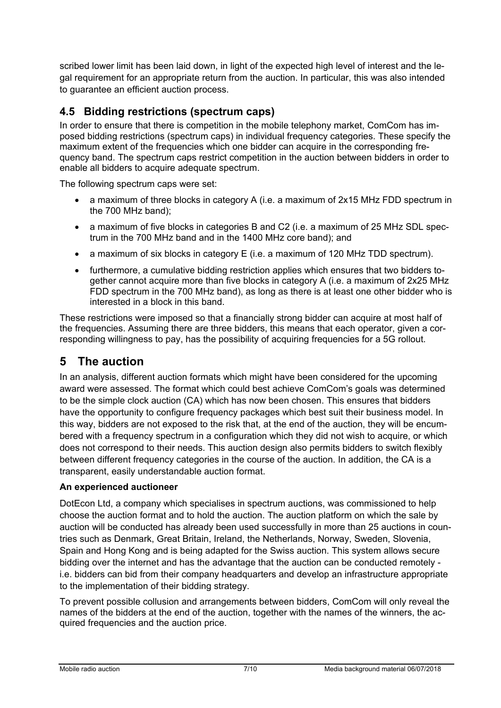scribed lower limit has been laid down, in light of the expected high level of interest and the legal requirement for an appropriate return from the auction. In particular, this was also intended to guarantee an efficient auction process.

## **4.5 Bidding restrictions (spectrum caps)**

In order to ensure that there is competition in the mobile telephony market, ComCom has imposed bidding restrictions (spectrum caps) in individual frequency categories. These specify the maximum extent of the frequencies which one bidder can acquire in the corresponding frequency band. The spectrum caps restrict competition in the auction between bidders in order to enable all bidders to acquire adequate spectrum.

The following spectrum caps were set:

- a maximum of three blocks in category A (i.e. a maximum of 2x15 MHz FDD spectrum in the 700 MHz band);
- a maximum of five blocks in categories B and C2 (i.e. a maximum of 25 MHz SDL spectrum in the 700 MHz band and in the 1400 MHz core band); and
- a maximum of six blocks in category E (i.e. a maximum of 120 MHz TDD spectrum).
- furthermore, a cumulative bidding restriction applies which ensures that two bidders together cannot acquire more than five blocks in category A (i.e. a maximum of 2x25 MHz FDD spectrum in the 700 MHz band), as long as there is at least one other bidder who is interested in a block in this band.

These restrictions were imposed so that a financially strong bidder can acquire at most half of the frequencies. Assuming there are three bidders, this means that each operator, given a corresponding willingness to pay, has the possibility of acquiring frequencies for a 5G rollout.

# **5 The auction**

In an analysis, different auction formats which might have been considered for the upcoming award were assessed. The format which could best achieve ComCom's goals was determined to be the simple clock auction (CA) which has now been chosen. This ensures that bidders have the opportunity to configure frequency packages which best suit their business model. In this way, bidders are not exposed to the risk that, at the end of the auction, they will be encumbered with a frequency spectrum in a configuration which they did not wish to acquire, or which does not correspond to their needs. This auction design also permits bidders to switch flexibly between different frequency categories in the course of the auction. In addition, the CA is a transparent, easily understandable auction format.

#### **An experienced auctioneer**

DotEcon Ltd, a company which specialises in spectrum auctions, was commissioned to help choose the auction format and to hold the auction. The auction platform on which the sale by auction will be conducted has already been used successfully in more than 25 auctions in countries such as Denmark, Great Britain, Ireland, the Netherlands, Norway, Sweden, Slovenia, Spain and Hong Kong and is being adapted for the Swiss auction. This system allows secure bidding over the internet and has the advantage that the auction can be conducted remotely i.e. bidders can bid from their company headquarters and develop an infrastructure appropriate to the implementation of their bidding strategy.

To prevent possible collusion and arrangements between bidders, ComCom will only reveal the names of the bidders at the end of the auction, together with the names of the winners, the acquired frequencies and the auction price.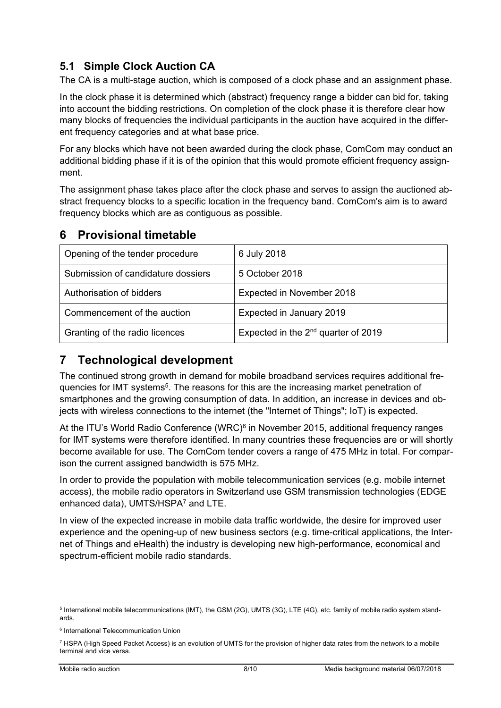# **5.1 Simple Clock Auction CA**

The CA is a multi-stage auction, which is composed of a clock phase and an assignment phase.

In the clock phase it is determined which (abstract) frequency range a bidder can bid for, taking into account the bidding restrictions. On completion of the clock phase it is therefore clear how many blocks of frequencies the individual participants in the auction have acquired in the different frequency categories and at what base price.

For any blocks which have not been awarded during the clock phase, ComCom may conduct an additional bidding phase if it is of the opinion that this would promote efficient frequency assignment.

The assignment phase takes place after the clock phase and serves to assign the auctioned abstract frequency blocks to a specific location in the frequency band. ComCom's aim is to award frequency blocks which are as contiguous as possible.

# **6 Provisional timetable**

| Opening of the tender procedure    | 6 July 2018                              |  |
|------------------------------------|------------------------------------------|--|
| Submission of candidature dossiers | 5 October 2018                           |  |
| Authorisation of bidders           | Expected in November 2018                |  |
| Commencement of the auction        | Expected in January 2019                 |  |
| Granting of the radio licences     | Expected in the $2^{nd}$ quarter of 2019 |  |

# **7 Technological development**

The continued strong growth in demand for mobile broadband services requires additional frequencies for IMT systems<sup>5</sup>. The reasons for this are the increasing market penetration of smartphones and the growing consumption of data. In addition, an increase in devices and objects with wireless connections to the internet (the "Internet of Things"; IoT) is expected.

At the ITU's World Radio Conference (WRC)<sup>6</sup> in November 2015, additional frequency ranges for IMT systems were therefore identified. In many countries these frequencies are or will shortly become available for use. The ComCom tender covers a range of 475 MHz in total. For comparison the current assigned bandwidth is 575 MHz.

In order to provide the population with mobile telecommunication services (e.g. mobile internet access), the mobile radio operators in Switzerland use GSM transmission technologies (EDGE enhanced data), UMTS/HSPA7 and LTE.

In view of the expected increase in mobile data traffic worldwide, the desire for improved user experience and the opening-up of new business sectors (e.g. time-critical applications, the Internet of Things and eHealth) the industry is developing new high-performance, economical and spectrum-efficient mobile radio standards.

 $\overline{a}$ 

<sup>5</sup> International mobile telecommunications (IMT), the GSM (2G), UMTS (3G), LTE (4G), etc. family of mobile radio system standards.

<sup>6</sup> International Telecommunication Union

<sup>7</sup> HSPA (High Speed Packet Access) is an evolution of UMTS for the provision of higher data rates from the network to a mobile terminal and vice versa.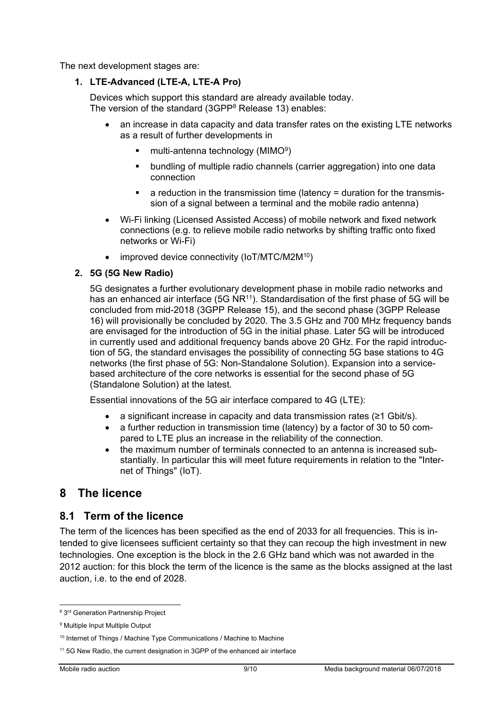The next development stages are:

#### **1. LTE-Advanced (LTE-A, LTE-A Pro)**

Devices which support this standard are already available today. The version of the standard (3GPP8 Release 13) enables:

- an increase in data capacity and data transfer rates on the existing LTE networks as a result of further developments in
	- multi-antenna technology (MIMO9)
	- bundling of multiple radio channels (carrier aggregation) into one data connection
	- a reduction in the transmission time (latency = duration for the transmission of a signal between a terminal and the mobile radio antenna)
- Wi-Fi linking (Licensed Assisted Access) of mobile network and fixed network connections (e.g. to relieve mobile radio networks by shifting traffic onto fixed networks or Wi-Fi)
- improved device connectivity (IoT/MTC/M2M<sup>10</sup>)

#### **2. 5G (5G New Radio)**

5G designates a further evolutionary development phase in mobile radio networks and has an enhanced air interface (5G NR<sup>11</sup>). Standardisation of the first phase of 5G will be concluded from mid-2018 (3GPP Release 15), and the second phase (3GPP Release 16) will provisionally be concluded by 2020. The 3.5 GHz and 700 MHz frequency bands are envisaged for the introduction of 5G in the initial phase. Later 5G will be introduced in currently used and additional frequency bands above 20 GHz. For the rapid introduction of 5G, the standard envisages the possibility of connecting 5G base stations to 4G networks (the first phase of 5G: Non-Standalone Solution). Expansion into a servicebased architecture of the core networks is essential for the second phase of 5G (Standalone Solution) at the latest.

Essential innovations of the 5G air interface compared to 4G (LTE):

- a significant increase in capacity and data transmission rates (≥1 Gbit/s).
- a further reduction in transmission time (latency) by a factor of 30 to 50 compared to LTE plus an increase in the reliability of the connection.
- the maximum number of terminals connected to an antenna is increased substantially. In particular this will meet future requirements in relation to the "Internet of Things" (IoT).

# **8 The licence**

## **8.1 Term of the licence**

The term of the licences has been specified as the end of 2033 for all frequencies. This is intended to give licensees sufficient certainty so that they can recoup the high investment in new technologies. One exception is the block in the 2.6 GHz band which was not awarded in the 2012 auction: for this block the term of the licence is the same as the blocks assigned at the last auction, i.e. to the end of 2028.

 8 3rd Generation Partnership Project

<sup>&</sup>lt;sup>9</sup> Multiple Input Multiple Output

<sup>&</sup>lt;sup>10</sup> Internet of Things / Machine Type Communications / Machine to Machine

<sup>&</sup>lt;sup>11</sup> 5G New Radio, the current designation in 3GPP of the enhanced air interface